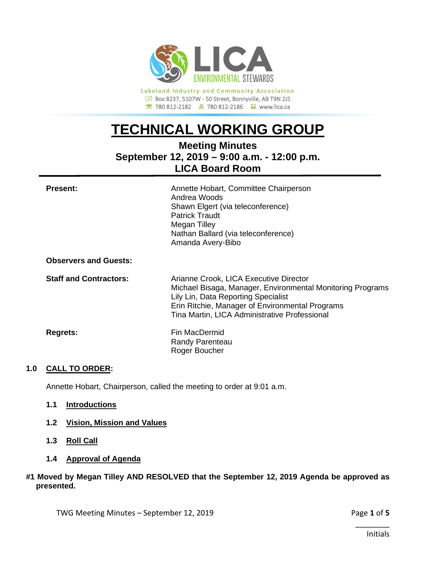

**Lakeland Industry and Community Association** Box 8237, 5107W - 50 Street, Bonnyville, AB T9N 2J5 780 812-2182780 812-2186www.lica.ca

# **TECHNICAL WORKING GROUP**

# **Meeting Minutes September 12, 2019 – 9:00 a.m. - 12:00 p.m. LICA Board Room**

| <b>Present:</b>               | Annette Hobart, Committee Chairperson<br>Andrea Woods<br>Shawn Elgert (via teleconference)<br><b>Patrick Traudt</b><br>Megan Tilley<br>Nathan Ballard (via teleconference)<br>Amanda Avery-Bibo                                                 |
|-------------------------------|-------------------------------------------------------------------------------------------------------------------------------------------------------------------------------------------------------------------------------------------------|
| <b>Observers and Guests:</b>  |                                                                                                                                                                                                                                                 |
| <b>Staff and Contractors:</b> | Arianne Crook, LICA Executive Director<br>Michael Bisaga, Manager, Environmental Monitoring Programs<br>Lily Lin, Data Reporting Specialist<br>Erin Ritchie, Manager of Environmental Programs<br>Tina Martin, LICA Administrative Professional |
| <b>Regrets:</b>               | Fin MacDermid<br>Randy Parenteau<br>Roger Boucher                                                                                                                                                                                               |

# **1.0 CALL TO ORDER:**

Annette Hobart, Chairperson, called the meeting to order at 9:01 a.m.

#### **1.1 Introductions**

- **1.2 Vision, Mission and Values**
- **1.3 Roll Call**
- **1.4 Approval of Agenda**

#### **#1 Moved by Megan Tilley AND RESOLVED that the September 12, 2019 Agenda be approved as presented.**

TWG Meeting Minutes – September 12, 2019 **Page 1** of 5

\_\_\_\_\_\_\_\_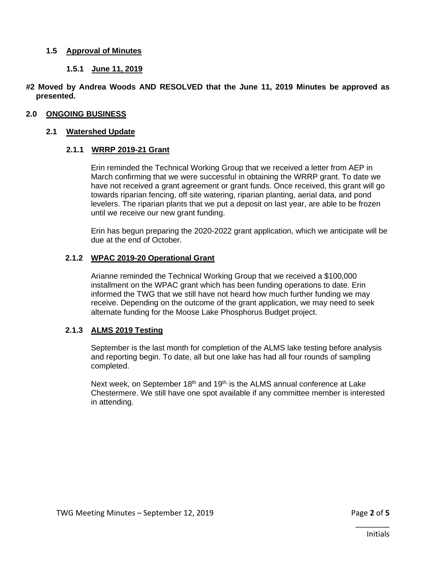# **1.5 Approval of Minutes**

# **1.5.1 June 11, 2019**

#### **#2 Moved by Andrea Woods AND RESOLVED that the June 11, 2019 Minutes be approved as presented.**

#### **2.0 ONGOING BUSINESS**

#### **2.1 Watershed Update**

#### **2.1.1 WRRP 2019-21 Grant**

Erin reminded the Technical Working Group that we received a letter from AEP in March confirming that we were successful in obtaining the WRRP grant. To date we have not received a grant agreement or grant funds. Once received, this grant will go towards riparian fencing, off site watering, riparian planting, aerial data, and pond levelers. The riparian plants that we put a deposit on last year, are able to be frozen until we receive our new grant funding.

Erin has begun preparing the 2020-2022 grant application, which we anticipate will be due at the end of October.

#### **2.1.2 WPAC 2019-20 Operational Grant**

Arianne reminded the Technical Working Group that we received a \$100,000 installment on the WPAC grant which has been funding operations to date. Erin informed the TWG that we still have not heard how much further funding we may receive. Depending on the outcome of the grant application, we may need to seek alternate funding for the Moose Lake Phosphorus Budget project.

#### **2.1.3 ALMS 2019 Testing**

September is the last month for completion of the ALMS lake testing before analysis and reporting begin. To date, all but one lake has had all four rounds of sampling completed.

Next week, on September 18<sup>th</sup> and 19<sup>th,</sup> is the ALMS annual conference at Lake Chestermere. We still have one spot available if any committee member is interested in attending.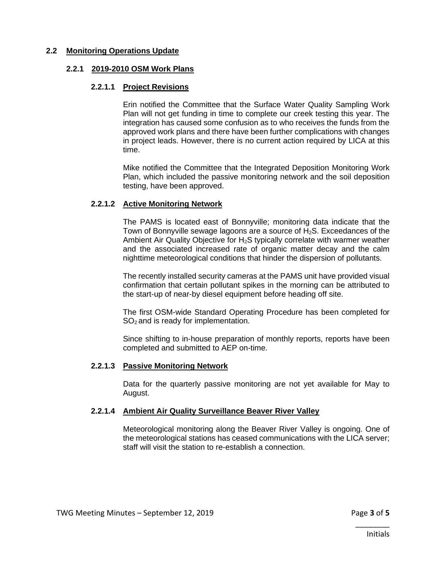## **2.2 Monitoring Operations Update**

#### **2.2.1 2019-2010 OSM Work Plans**

#### **2.2.1.1 Project Revisions**

Erin notified the Committee that the Surface Water Quality Sampling Work Plan will not get funding in time to complete our creek testing this year. The integration has caused some confusion as to who receives the funds from the approved work plans and there have been further complications with changes in project leads. However, there is no current action required by LICA at this time.

Mike notified the Committee that the Integrated Deposition Monitoring Work Plan, which included the passive monitoring network and the soil deposition testing, have been approved.

# **2.2.1.2 Active Monitoring Network**

The PAMS is located east of Bonnyville; monitoring data indicate that the Town of Bonnyville sewage lagoons are a source of  $H_2S$ . Exceedances of the Ambient Air Quality Objective for H<sub>2</sub>S typically correlate with warmer weather and the associated increased rate of organic matter decay and the calm nighttime meteorological conditions that hinder the dispersion of pollutants.

The recently installed security cameras at the PAMS unit have provided visual confirmation that certain pollutant spikes in the morning can be attributed to the start-up of near-by diesel equipment before heading off site.

The first OSM-wide Standard Operating Procedure has been completed for  $SO<sub>2</sub>$  and is ready for implementation.

Since shifting to in-house preparation of monthly reports, reports have been completed and submitted to AEP on-time.

# **2.2.1.3 Passive Monitoring Network**

Data for the quarterly passive monitoring are not yet available for May to August.

# **2.2.1.4 Ambient Air Quality Surveillance Beaver River Valley**

Meteorological monitoring along the Beaver River Valley is ongoing. One of the meteorological stations has ceased communications with the LICA server; staff will visit the station to re-establish a connection.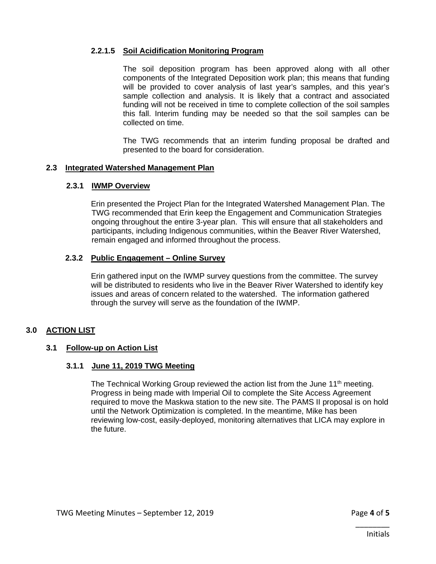# **2.2.1.5 Soil Acidification Monitoring Program**

The soil deposition program has been approved along with all other components of the Integrated Deposition work plan; this means that funding will be provided to cover analysis of last year's samples, and this year's sample collection and analysis. It is likely that a contract and associated funding will not be received in time to complete collection of the soil samples this fall. Interim funding may be needed so that the soil samples can be collected on time.

The TWG recommends that an interim funding proposal be drafted and presented to the board for consideration.

#### **2.3 Integrated Watershed Management Plan**

#### **2.3.1 IWMP Overview**

Erin presented the Project Plan for the Integrated Watershed Management Plan. The TWG recommended that Erin keep the Engagement and Communication Strategies ongoing throughout the entire 3-year plan. This will ensure that all stakeholders and participants, including Indigenous communities, within the Beaver River Watershed, remain engaged and informed throughout the process.

#### **2.3.2 Public Engagement – Online Survey**

Erin gathered input on the IWMP survey questions from the committee. The survey will be distributed to residents who live in the Beaver River Watershed to identify key issues and areas of concern related to the watershed. The information gathered through the survey will serve as the foundation of the IWMP.

# **3.0 ACTION LIST**

# **3.1 Follow-up on Action List**

# **3.1.1 June 11, 2019 TWG Meeting**

The Technical Working Group reviewed the action list from the June 11<sup>th</sup> meeting. Progress in being made with Imperial Oil to complete the Site Access Agreement required to move the Maskwa station to the new site. The PAMS II proposal is on hold until the Network Optimization is completed. In the meantime, Mike has been reviewing low-cost, easily-deployed, monitoring alternatives that LICA may explore in the future.